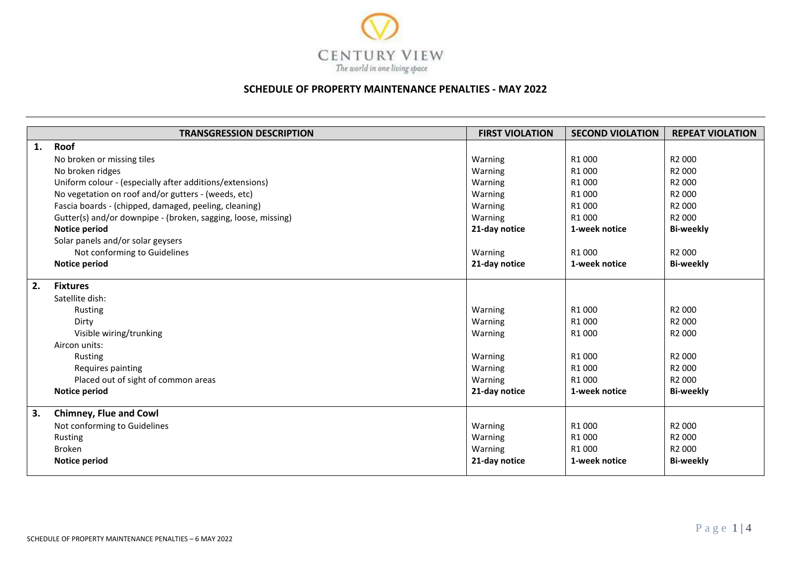

## **SCHEDULE OF PROPERTY MAINTENANCE PENALTIES - MAY 2022**

|    | <b>TRANSGRESSION DESCRIPTION</b>                              | <b>FIRST VIOLATION</b> | <b>SECOND VIOLATION</b> | <b>REPEAT VIOLATION</b> |
|----|---------------------------------------------------------------|------------------------|-------------------------|-------------------------|
| 1. | Roof                                                          |                        |                         |                         |
|    | No broken or missing tiles                                    | Warning                | R1000                   | R <sub>2</sub> 000      |
|    | No broken ridges                                              | Warning                | R1000                   | R <sub>2</sub> 000      |
|    | Uniform colour - (especially after additions/extensions)      | Warning                | R1000                   | R <sub>2</sub> 000      |
|    | No vegetation on roof and/or gutters - (weeds, etc)           | Warning                | R1000                   | R <sub>2</sub> 000      |
|    | Fascia boards - (chipped, damaged, peeling, cleaning)         | Warning                | R1000                   | R2 000                  |
|    | Gutter(s) and/or downpipe - (broken, sagging, loose, missing) | Warning                | R1000                   | R <sub>2</sub> 000      |
|    | <b>Notice period</b>                                          | 21-day notice          | 1-week notice           | <b>Bi-weekly</b>        |
|    | Solar panels and/or solar geysers                             |                        |                         |                         |
|    | Not conforming to Guidelines                                  | Warning                | R1000                   | R <sub>2</sub> 000      |
|    | Notice period                                                 | 21-day notice          | 1-week notice           | <b>Bi-weekly</b>        |
| 2. | <b>Fixtures</b>                                               |                        |                         |                         |
|    | Satellite dish:                                               |                        |                         |                         |
|    | Rusting                                                       | Warning                | R1000                   | R2 000                  |
|    | Dirty                                                         | Warning                | R1000                   | R <sub>2</sub> 000      |
|    | Visible wiring/trunking                                       | Warning                | R1000                   | R <sub>2</sub> 000      |
|    | Aircon units:                                                 |                        |                         |                         |
|    | Rusting                                                       | Warning                | R1000                   | R <sub>2</sub> 000      |
|    | Requires painting                                             | Warning                | R1000                   | R <sub>2</sub> 000      |
|    | Placed out of sight of common areas                           | Warning                | R <sub>1</sub> 000      | R2 000                  |
|    | Notice period                                                 | 21-day notice          | 1-week notice           | <b>Bi-weekly</b>        |
| 3. | <b>Chimney, Flue and Cowl</b>                                 |                        |                         |                         |
|    | Not conforming to Guidelines                                  | Warning                | R <sub>1</sub> 000      | R <sub>2</sub> 000      |
|    | Rusting                                                       | Warning                | R1000                   | R2 000                  |
|    | <b>Broken</b>                                                 | Warning                | R <sub>1</sub> 000      | R <sub>2</sub> 000      |
|    | Notice period                                                 | 21-day notice          | 1-week notice           | <b>Bi-weekly</b>        |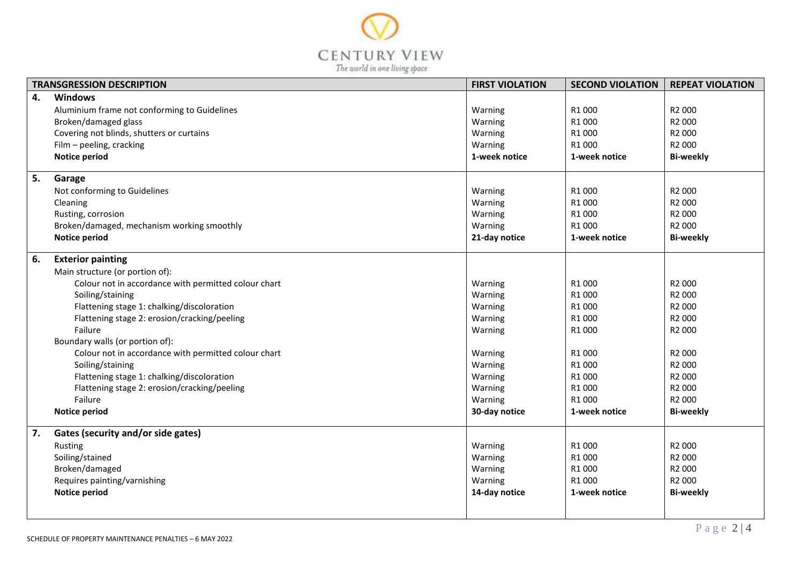

| <b>TRANSGRESSION DESCRIPTION</b> |                                                      | <b>FIRST VIOLATION</b> | <b>SECOND VIOLATION</b> | <b>REPEAT VIOLATION</b> |
|----------------------------------|------------------------------------------------------|------------------------|-------------------------|-------------------------|
| 4.                               | <b>Windows</b>                                       |                        |                         |                         |
|                                  | Aluminium frame not conforming to Guidelines         | Warning                | R1000                   | R2 000                  |
|                                  | Broken/damaged glass                                 | Warning                | R1 000                  | R2 000                  |
|                                  | Covering not blinds, shutters or curtains            | Warning                | R1000                   | R2 000                  |
|                                  | Film - peeling, cracking                             | Warning                | R1000                   | R2 000                  |
|                                  | Notice period                                        | 1-week notice          | 1-week notice           | <b>Bi-weekly</b>        |
| 5.                               | Garage                                               |                        |                         |                         |
|                                  | Not conforming to Guidelines                         | Warning                | R1 000                  | R2 000                  |
|                                  | Cleaning                                             | Warning                | R1 000                  | R2 000                  |
|                                  | Rusting, corrosion                                   | Warning                | R1000                   | R2 000                  |
|                                  | Broken/damaged, mechanism working smoothly           | Warning                | R1 000                  | R2 000                  |
|                                  | Notice period                                        | 21-day notice          | 1-week notice           | <b>Bi-weekly</b>        |
| 6.                               | <b>Exterior painting</b>                             |                        |                         |                         |
|                                  | Main structure (or portion of):                      |                        |                         |                         |
|                                  | Colour not in accordance with permitted colour chart | Warning                | R1000                   | R2 000                  |
|                                  | Soiling/staining                                     | Warning                | R1 000                  | R2 000                  |
|                                  | Flattening stage 1: chalking/discoloration           | Warning                | R1000                   | R2 000                  |
|                                  | Flattening stage 2: erosion/cracking/peeling         | Warning                | R1000                   | R2 000                  |
|                                  | Failure                                              | Warning                | R1 000                  | R2 000                  |
|                                  | Boundary walls (or portion of):                      |                        |                         |                         |
|                                  | Colour not in accordance with permitted colour chart | Warning                | R1 000                  | R2 000                  |
|                                  | Soiling/staining                                     | Warning                | R1000                   | R2 000                  |
|                                  | Flattening stage 1: chalking/discoloration           | Warning                | R1000                   | R2 000                  |
|                                  | Flattening stage 2: erosion/cracking/peeling         | Warning                | R1 000                  | R2 000                  |
|                                  | Failure                                              | Warning                | R1000                   | R2 000                  |
|                                  | Notice period                                        | 30-day notice          | 1-week notice           | <b>Bi-weekly</b>        |
| 7.                               | Gates (security and/or side gates)                   |                        |                         |                         |
|                                  | Rusting                                              | Warning                | R1 000                  | R2 000                  |
|                                  | Soiling/stained                                      | Warning                | R1 000                  | R2 000                  |
|                                  | Broken/damaged                                       | Warning                | R1000                   | R2 000                  |
|                                  | Requires painting/varnishing                         | Warning                | R1000                   | R2 000                  |
|                                  | Notice period                                        | 14-day notice          | 1-week notice           | <b>Bi-weekly</b>        |
|                                  |                                                      |                        |                         |                         |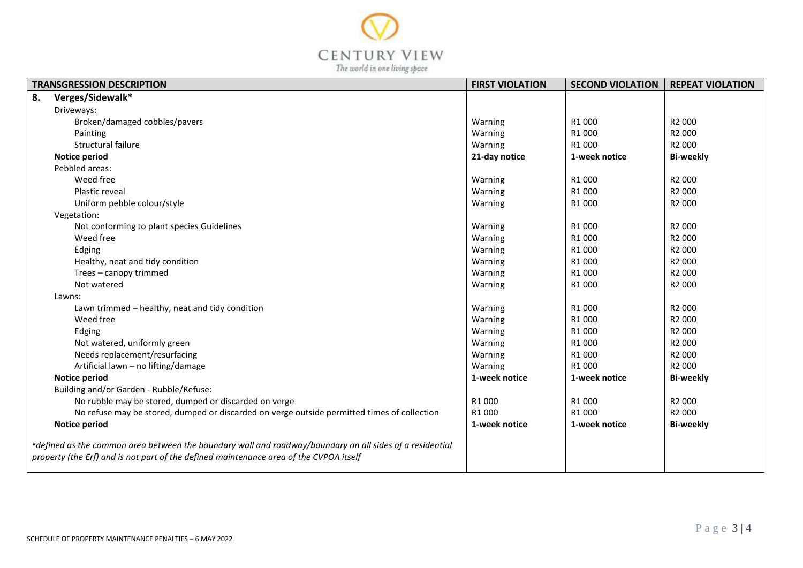

| <b>TRANSGRESSION DESCRIPTION</b>                                                                         |                                                                                             | <b>FIRST VIOLATION</b> | <b>SECOND VIOLATION</b> | <b>REPEAT VIOLATION</b> |
|----------------------------------------------------------------------------------------------------------|---------------------------------------------------------------------------------------------|------------------------|-------------------------|-------------------------|
| 8.                                                                                                       | Verges/Sidewalk*                                                                            |                        |                         |                         |
|                                                                                                          | Driveways:                                                                                  |                        |                         |                         |
|                                                                                                          | Broken/damaged cobbles/pavers                                                               | Warning                | R1000                   | R2 000                  |
|                                                                                                          | Painting                                                                                    | Warning                | R1000                   | R2 000                  |
|                                                                                                          | Structural failure                                                                          | Warning                | R1000                   | R <sub>2</sub> 000      |
|                                                                                                          | <b>Notice period</b>                                                                        | 21-day notice          | 1-week notice           | <b>Bi-weekly</b>        |
|                                                                                                          | Pebbled areas:                                                                              |                        |                         |                         |
|                                                                                                          | Weed free                                                                                   | Warning                | R1000                   | R2 000                  |
|                                                                                                          | Plastic reveal                                                                              | Warning                | R1000                   | R2 000                  |
|                                                                                                          | Uniform pebble colour/style                                                                 | Warning                | R1000                   | R <sub>2</sub> 000      |
|                                                                                                          | Vegetation:                                                                                 |                        |                         |                         |
|                                                                                                          | Not conforming to plant species Guidelines                                                  | Warning                | R1000                   | R2 000                  |
|                                                                                                          | Weed free                                                                                   | Warning                | R1000                   | R2 000                  |
|                                                                                                          | Edging                                                                                      | Warning                | R1000                   | R2 000                  |
|                                                                                                          | Healthy, neat and tidy condition                                                            | Warning                | R1000                   | R2 000                  |
|                                                                                                          | Trees - canopy trimmed                                                                      | Warning                | R1000                   | R2 000                  |
|                                                                                                          | Not watered                                                                                 | Warning                | R1000                   | R <sub>2</sub> 000      |
|                                                                                                          | Lawns:                                                                                      |                        |                         |                         |
|                                                                                                          | Lawn trimmed - healthy, neat and tidy condition                                             | Warning                | R1000                   | R2 000                  |
|                                                                                                          | Weed free                                                                                   | Warning                | R1000                   | R2 000                  |
|                                                                                                          | Edging                                                                                      | Warning                | R1000                   | R2 000                  |
|                                                                                                          | Not watered, uniformly green                                                                | Warning                | R1000                   | R <sub>2</sub> 000      |
|                                                                                                          | Needs replacement/resurfacing                                                               | Warning                | R1000                   | R2 000                  |
|                                                                                                          | Artificial lawn - no lifting/damage                                                         | Warning                | R1000                   | R2 000                  |
|                                                                                                          | <b>Notice period</b>                                                                        | 1-week notice          | 1-week notice           | <b>Bi-weekly</b>        |
|                                                                                                          | Building and/or Garden - Rubble/Refuse:                                                     |                        |                         |                         |
|                                                                                                          | No rubble may be stored, dumped or discarded on verge                                       | R1 000                 | R1000                   | R2 000                  |
|                                                                                                          | No refuse may be stored, dumped or discarded on verge outside permitted times of collection | R1 000                 | R1000                   | R2 000                  |
|                                                                                                          | <b>Notice period</b>                                                                        | 1-week notice          | 1-week notice           | <b>Bi-weekly</b>        |
| *defined as the common area between the boundary wall and roadway/boundary on all sides of a residential |                                                                                             |                        |                         |                         |
| property (the Erf) and is not part of the defined maintenance area of the CVPOA itself                   |                                                                                             |                        |                         |                         |
|                                                                                                          |                                                                                             |                        |                         |                         |